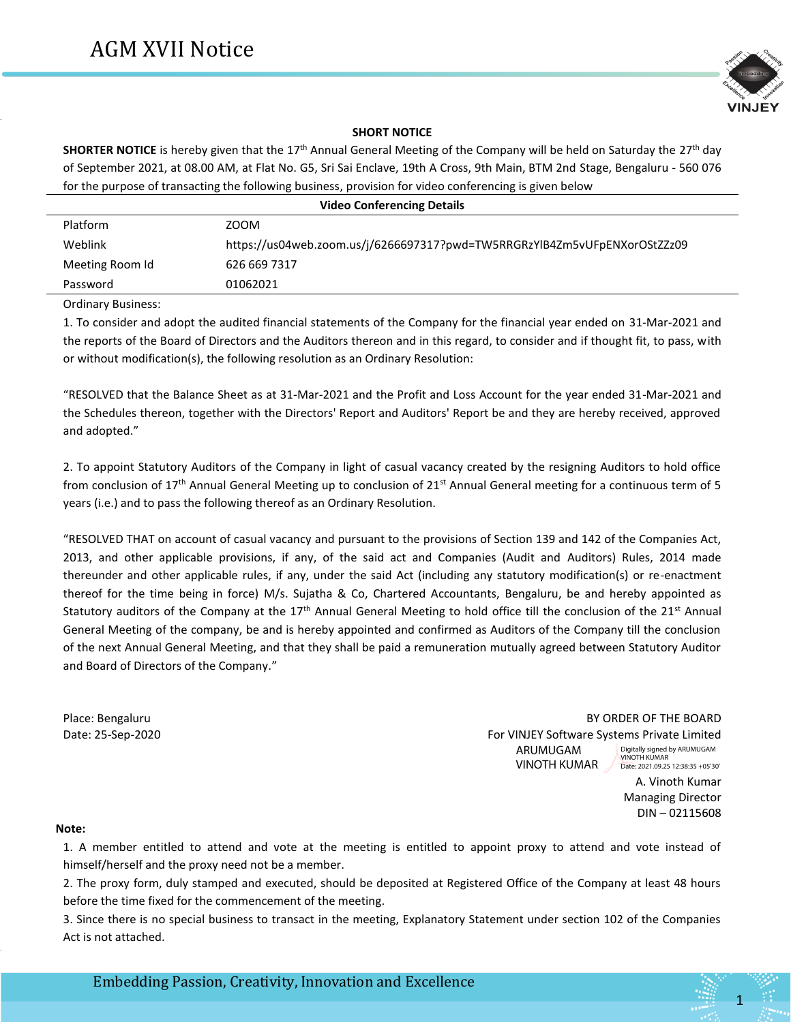

## **SHORT NOTICE**

**SHORTER NOTICE** is hereby given that the 17th Annual General Meeting of the Company will be held on Saturday the 27th day of September 2021, at 08.00 AM, at Flat No. G5, Sri Sai Enclave, 19th A Cross, 9th Main, BTM 2nd Stage, Bengaluru - 560 076 for the purpose of transacting the following business, provision for video conferencing is given below

| <b>Video Conferencing Details</b> |                                                                           |  |  |  |
|-----------------------------------|---------------------------------------------------------------------------|--|--|--|
| Platform                          | ZOOM                                                                      |  |  |  |
| Weblink                           | https://us04web.zoom.us/j/6266697317?pwd=TW5RRGRzYlB4Zm5vUFpENXorOStZZz09 |  |  |  |
| Meeting Room Id                   | 626 669 7317                                                              |  |  |  |
| Password                          | 01062021                                                                  |  |  |  |

Ordinary Business:

.

1. To consider and adopt the audited financial statements of the Company for the financial year ended on 31-Mar-2021 and the reports of the Board of Directors and the Auditors thereon and in this regard, to consider and if thought fit, to pass, with or without modification(s), the following resolution as an Ordinary Resolution:

"RESOLVED that the Balance Sheet as at 31-Mar-2021 and the Profit and Loss Account for the year ended 31-Mar-2021 and the Schedules thereon, together with the Directors' Report and Auditors' Report be and they are hereby received, approved and adopted."

2. To appoint Statutory Auditors of the Company in light of casual vacancy created by the resigning Auditors to hold office from conclusion of 17<sup>th</sup> Annual General Meeting up to conclusion of 21<sup>st</sup> Annual General meeting for a continuous term of 5 years (i.e.) and to pass the following thereof as an Ordinary Resolution.

"RESOLVED THAT on account of casual vacancy and pursuant to the provisions of Section 139 and 142 of the Companies Act, 2013, and other applicable provisions, if any, of the said act and Companies (Audit and Auditors) Rules, 2014 made thereunder and other applicable rules, if any, under the said Act (including any statutory modification(s) or re-enactment thereof for the time being in force) M/s. Sujatha & Co, Chartered Accountants, Bengaluru, be and hereby appointed as Statutory auditors of the Company at the  $17<sup>th</sup>$  Annual General Meeting to hold office till the conclusion of the 21st Annual General Meeting of the company, be and is hereby appointed and confirmed as Auditors of the Company till the conclusion of the next Annual General Meeting, and that they shall be paid a remuneration mutually agreed between Statutory Auditor and Board of Directors of the Company."

Place: Bengaluru By ORDER OF THE BOARD AND THE BOARD BY ORDER OF THE BOARD Date: 25-Sep-2020 For VINJEY Software Systems Private Limited A. Vinoth Kumar ARUMUGAM VINOTH KUMAR Digitally signed by ARUMUGAM VINOTH KUMAR Date: 2021.09.25 12:38:35 +05'30'

Managing Director DIN – 02115608

## **Note:**

1. A member entitled to attend and vote at the meeting is entitled to appoint proxy to attend and vote instead of himself/herself and the proxy need not be a member.

2. The proxy form, duly stamped and executed, should be deposited at Registered Office of the Company at least 48 hours before the time fixed for the commencement of the meeting.

3. Since there is no special business to transact in the meeting, Explanatory Statement under section 102 of the Companies Act is not attached.

1

Embedding Passion, Creativity, Innovation and Excellence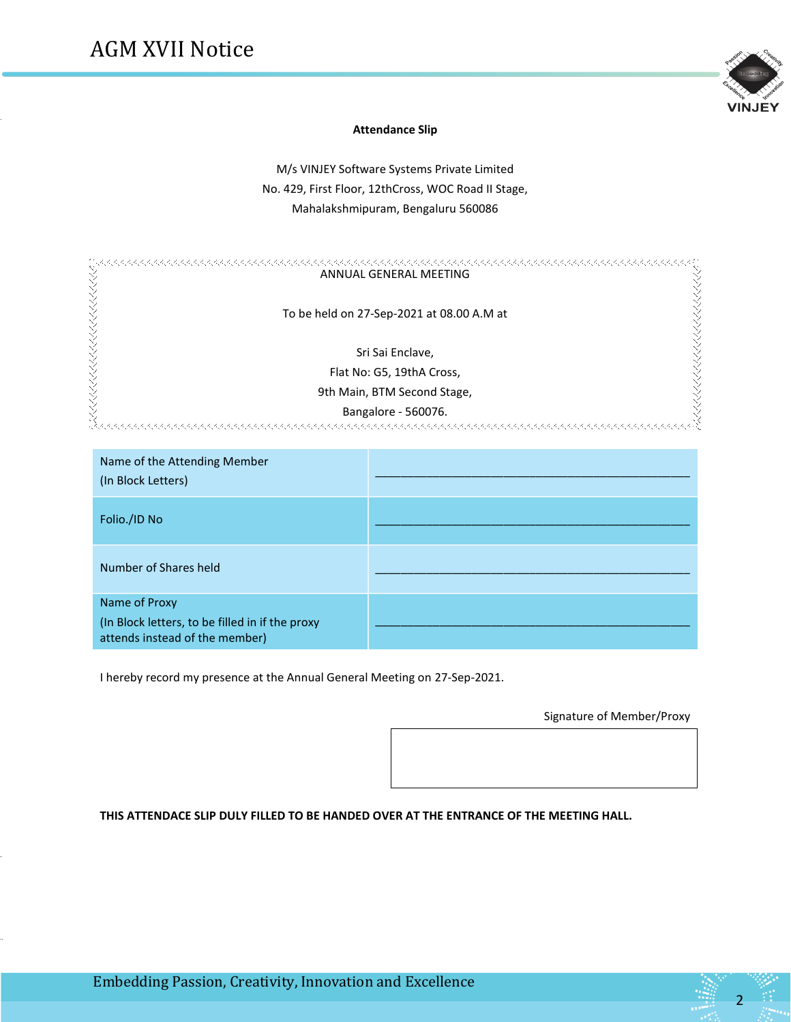.

.

..



#### **Attendance Slip**

M/s VINJEY Software Systems Private Limited No. 429, First Floor, 12thCross, WOC Road II Stage, Mahalakshmipuram, Bengaluru 560086

| ANNUAL GENERAL MEETING                    |
|-------------------------------------------|
| To be held on 27-Sep-2021 at 08.00 A.M at |
| Sri Sai Enclave,                          |
| Flat No: G5, 19thA Cross,                 |
| 9th Main, BTM Second Stage,               |
| Bangalore - 560076.                       |

| Name of the Attending Member<br>(In Block Letters)                                                 |  |
|----------------------------------------------------------------------------------------------------|--|
| Folio./ID No                                                                                       |  |
| Number of Shares held                                                                              |  |
| Name of Proxy<br>(In Block letters, to be filled in if the proxy<br>attends instead of the member) |  |

I hereby record my presence at the Annual General Meeting on 27-Sep-2021.

Signature of Member/Proxy

**THIS ATTENDACE SLIP DULY FILLED TO BE HANDED OVER AT THE ENTRANCE OF THE MEETING HALL.**

<u>2 – Andrea Statistica Andrea Statistica Andrea Statistica Andrea Statistica Andrea Statistica Andrea Statistic</u>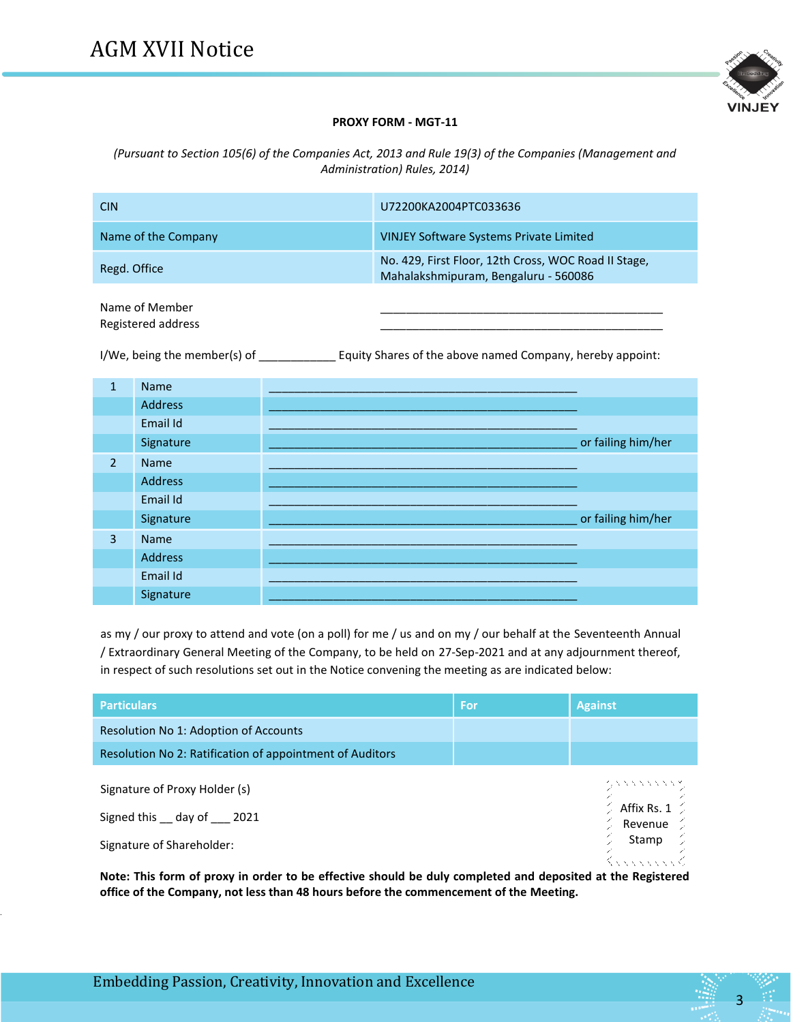

# **PROXY FORM - MGT-11**

*(Pursuant to Section 105(6) of the Companies Act, 2013 and Rule 19(3) of the Companies (Management and Administration) Rules, 2014)*

| <b>CIN</b>                           | U72200KA2004PTC033636                                                                        |
|--------------------------------------|----------------------------------------------------------------------------------------------|
| Name of the Company                  | <b>VINJEY Software Systems Private Limited</b>                                               |
| Regd. Office                         | No. 429, First Floor, 12th Cross, WOC Road II Stage,<br>Mahalakshmipuram, Bengaluru - 560086 |
| Name of Member<br>Registered address |                                                                                              |

I/We, being the member(s) of \_\_\_\_\_\_\_\_\_\_\_\_\_\_\_\_ Equity Shares of the above named Company, hereby appoint:

| $\mathbf{1}$   | <b>Name</b> |                    |
|----------------|-------------|--------------------|
|                | Address     |                    |
|                | Email Id    |                    |
|                | Signature   | or failing him/her |
| $\overline{2}$ | <b>Name</b> |                    |
|                | Address     |                    |
|                | Email Id    |                    |
|                | Signature   | or failing him/her |
| $\overline{3}$ | Name        |                    |
|                | Address     |                    |
|                | Email Id    |                    |
|                | Signature   |                    |

as my / our proxy to attend and vote (on a poll) for me / us and on my / our behalf at the Seventeenth Annual / Extraordinary General Meeting of the Company, to be held on 27-Sep-2021 and at any adjournment thereof, in respect of such resolutions set out in the Notice convening the meeting as are indicated below:

| <b>Particulars</b>                                                                    | For | <b>Against</b>                                                                              |
|---------------------------------------------------------------------------------------|-----|---------------------------------------------------------------------------------------------|
| Resolution No 1: Adoption of Accounts                                                 |     |                                                                                             |
| Resolution No 2: Ratification of appointment of Auditors                              |     |                                                                                             |
| Signature of Proxy Holder (s)<br>Signed this day of 2021<br>Signature of Shareholder: |     | マンファンファファス<br>$^\circ_\times$ Affix Rs. 1 $^\circ_\times$<br>Revenue $\mathcal{D}$<br>Stamp |

**Note: This form of proxy in order to be effective should be duly completed and deposited at the Registered office of the Company, not less than 48 hours before the commencement of the Meeting.**

3

.